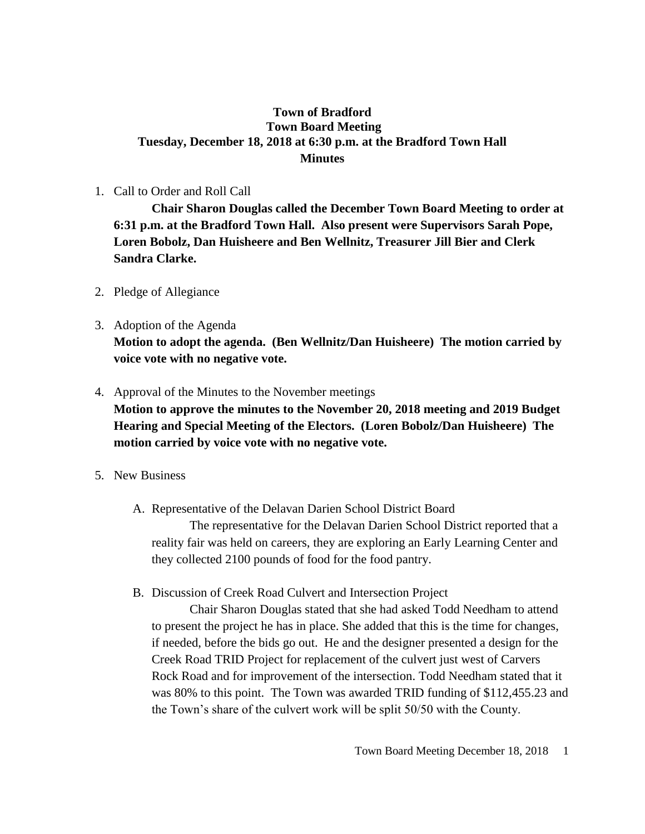## **Town of Bradford Town Board Meeting Tuesday, December 18, 2018 at 6:30 p.m. at the Bradford Town Hall Minutes**

1. Call to Order and Roll Call

**Chair Sharon Douglas called the December Town Board Meeting to order at 6:31 p.m. at the Bradford Town Hall. Also present were Supervisors Sarah Pope, Loren Bobolz, Dan Huisheere and Ben Wellnitz, Treasurer Jill Bier and Clerk Sandra Clarke.**

- 2. Pledge of Allegiance
- 3. Adoption of the Agenda **Motion to adopt the agenda. (Ben Wellnitz/Dan Huisheere) The motion carried by voice vote with no negative vote.**
- 4. Approval of the Minutes to the November meetings **Motion to approve the minutes to the November 20, 2018 meeting and 2019 Budget Hearing and Special Meeting of the Electors. (Loren Bobolz/Dan Huisheere) The motion carried by voice vote with no negative vote.**
- 5. New Business
	- A. Representative of the Delavan Darien School District Board

The representative for the Delavan Darien School District reported that a reality fair was held on careers, they are exploring an Early Learning Center and they collected 2100 pounds of food for the food pantry.

B. Discussion of Creek Road Culvert and Intersection Project

Chair Sharon Douglas stated that she had asked Todd Needham to attend to present the project he has in place. She added that this is the time for changes, if needed, before the bids go out. He and the designer presented a design for the Creek Road TRID Project for replacement of the culvert just west of Carvers Rock Road and for improvement of the intersection. Todd Needham stated that it was 80% to this point. The Town was awarded TRID funding of \$112,455.23 and the Town's share of the culvert work will be split 50/50 with the County.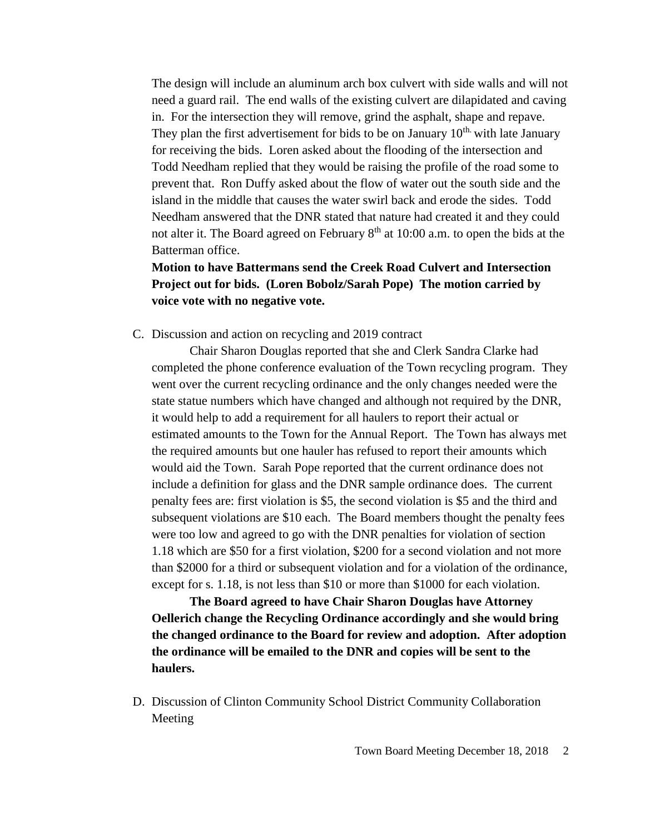The design will include an aluminum arch box culvert with side walls and will not need a guard rail. The end walls of the existing culvert are dilapidated and caving in. For the intersection they will remove, grind the asphalt, shape and repave. They plan the first advertisement for bids to be on January  $10<sup>th</sup>$  with late January for receiving the bids. Loren asked about the flooding of the intersection and Todd Needham replied that they would be raising the profile of the road some to prevent that. Ron Duffy asked about the flow of water out the south side and the island in the middle that causes the water swirl back and erode the sides. Todd Needham answered that the DNR stated that nature had created it and they could not alter it. The Board agreed on February 8<sup>th</sup> at 10:00 a.m. to open the bids at the Batterman office.

## **Motion to have Battermans send the Creek Road Culvert and Intersection Project out for bids. (Loren Bobolz/Sarah Pope) The motion carried by voice vote with no negative vote.**

C. Discussion and action on recycling and 2019 contract

Chair Sharon Douglas reported that she and Clerk Sandra Clarke had completed the phone conference evaluation of the Town recycling program. They went over the current recycling ordinance and the only changes needed were the state statue numbers which have changed and although not required by the DNR, it would help to add a requirement for all haulers to report their actual or estimated amounts to the Town for the Annual Report. The Town has always met the required amounts but one hauler has refused to report their amounts which would aid the Town. Sarah Pope reported that the current ordinance does not include a definition for glass and the DNR sample ordinance does. The current penalty fees are: first violation is \$5, the second violation is \$5 and the third and subsequent violations are \$10 each. The Board members thought the penalty fees were too low and agreed to go with the DNR penalties for violation of section 1.18 which are \$50 for a first violation, \$200 for a second violation and not more than \$2000 for a third or subsequent violation and for a violation of the ordinance, except for s. 1.18, is not less than \$10 or more than \$1000 for each violation.

**The Board agreed to have Chair Sharon Douglas have Attorney Oellerich change the Recycling Ordinance accordingly and she would bring the changed ordinance to the Board for review and adoption. After adoption the ordinance will be emailed to the DNR and copies will be sent to the haulers.**

D. Discussion of Clinton Community School District Community Collaboration Meeting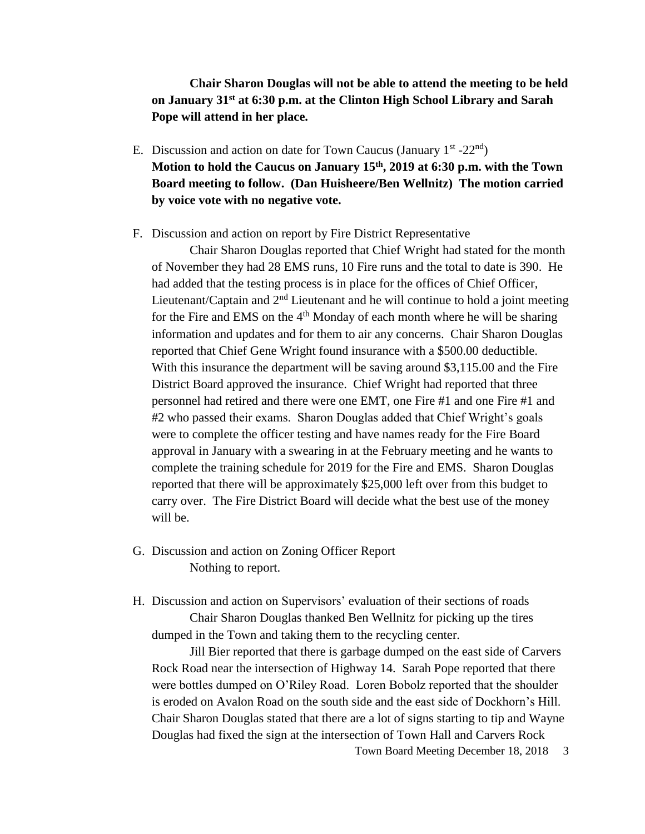**Chair Sharon Douglas will not be able to attend the meeting to be held on January 31st at 6:30 p.m. at the Clinton High School Library and Sarah Pope will attend in her place.**

- E. Discussion and action on date for Town Caucus (January  $1^{st}$  -22<sup>nd</sup>) **Motion to hold the Caucus on January 15th, 2019 at 6:30 p.m. with the Town Board meeting to follow. (Dan Huisheere/Ben Wellnitz) The motion carried by voice vote with no negative vote.**
- F. Discussion and action on report by Fire District Representative

Chair Sharon Douglas reported that Chief Wright had stated for the month of November they had 28 EMS runs, 10 Fire runs and the total to date is 390. He had added that the testing process is in place for the offices of Chief Officer, Lieutenant/Captain and 2nd Lieutenant and he will continue to hold a joint meeting for the Fire and EMS on the  $4<sup>th</sup>$  Monday of each month where he will be sharing information and updates and for them to air any concerns. Chair Sharon Douglas reported that Chief Gene Wright found insurance with a \$500.00 deductible. With this insurance the department will be saving around \$3,115.00 and the Fire District Board approved the insurance. Chief Wright had reported that three personnel had retired and there were one EMT, one Fire #1 and one Fire #1 and #2 who passed their exams. Sharon Douglas added that Chief Wright's goals were to complete the officer testing and have names ready for the Fire Board approval in January with a swearing in at the February meeting and he wants to complete the training schedule for 2019 for the Fire and EMS. Sharon Douglas reported that there will be approximately \$25,000 left over from this budget to carry over. The Fire District Board will decide what the best use of the money will be.

- G. Discussion and action on Zoning Officer Report Nothing to report.
- H. Discussion and action on Supervisors' evaluation of their sections of roads Chair Sharon Douglas thanked Ben Wellnitz for picking up the tires dumped in the Town and taking them to the recycling center.

Jill Bier reported that there is garbage dumped on the east side of Carvers Rock Road near the intersection of Highway 14. Sarah Pope reported that there were bottles dumped on O'Riley Road. Loren Bobolz reported that the shoulder is eroded on Avalon Road on the south side and the east side of Dockhorn's Hill. Chair Sharon Douglas stated that there are a lot of signs starting to tip and Wayne Douglas had fixed the sign at the intersection of Town Hall and Carvers Rock

Town Board Meeting December 18, 2018 3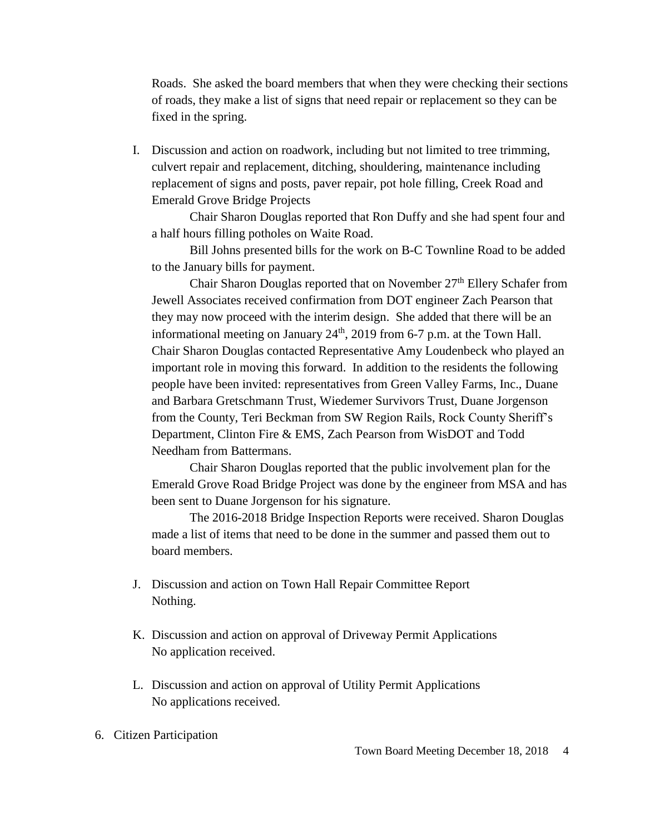Roads. She asked the board members that when they were checking their sections of roads, they make a list of signs that need repair or replacement so they can be fixed in the spring.

I. Discussion and action on roadwork, including but not limited to tree trimming, culvert repair and replacement, ditching, shouldering, maintenance including replacement of signs and posts, paver repair, pot hole filling, Creek Road and Emerald Grove Bridge Projects

Chair Sharon Douglas reported that Ron Duffy and she had spent four and a half hours filling potholes on Waite Road.

Bill Johns presented bills for the work on B-C Townline Road to be added to the January bills for payment.

Chair Sharon Douglas reported that on November 27<sup>th</sup> Ellery Schafer from Jewell Associates received confirmation from DOT engineer Zach Pearson that they may now proceed with the interim design. She added that there will be an informational meeting on January  $24<sup>th</sup>$ , 2019 from 6-7 p.m. at the Town Hall. Chair Sharon Douglas contacted Representative Amy Loudenbeck who played an important role in moving this forward. In addition to the residents the following people have been invited: representatives from Green Valley Farms, Inc., Duane and Barbara Gretschmann Trust, Wiedemer Survivors Trust, Duane Jorgenson from the County, Teri Beckman from SW Region Rails, Rock County Sheriff's Department, Clinton Fire & EMS, Zach Pearson from WisDOT and Todd Needham from Battermans.

Chair Sharon Douglas reported that the public involvement plan for the Emerald Grove Road Bridge Project was done by the engineer from MSA and has been sent to Duane Jorgenson for his signature.

The 2016-2018 Bridge Inspection Reports were received. Sharon Douglas made a list of items that need to be done in the summer and passed them out to board members.

- J. Discussion and action on Town Hall Repair Committee Report Nothing.
- K. Discussion and action on approval of Driveway Permit Applications No application received.
- L. Discussion and action on approval of Utility Permit Applications No applications received.
- 6. Citizen Participation